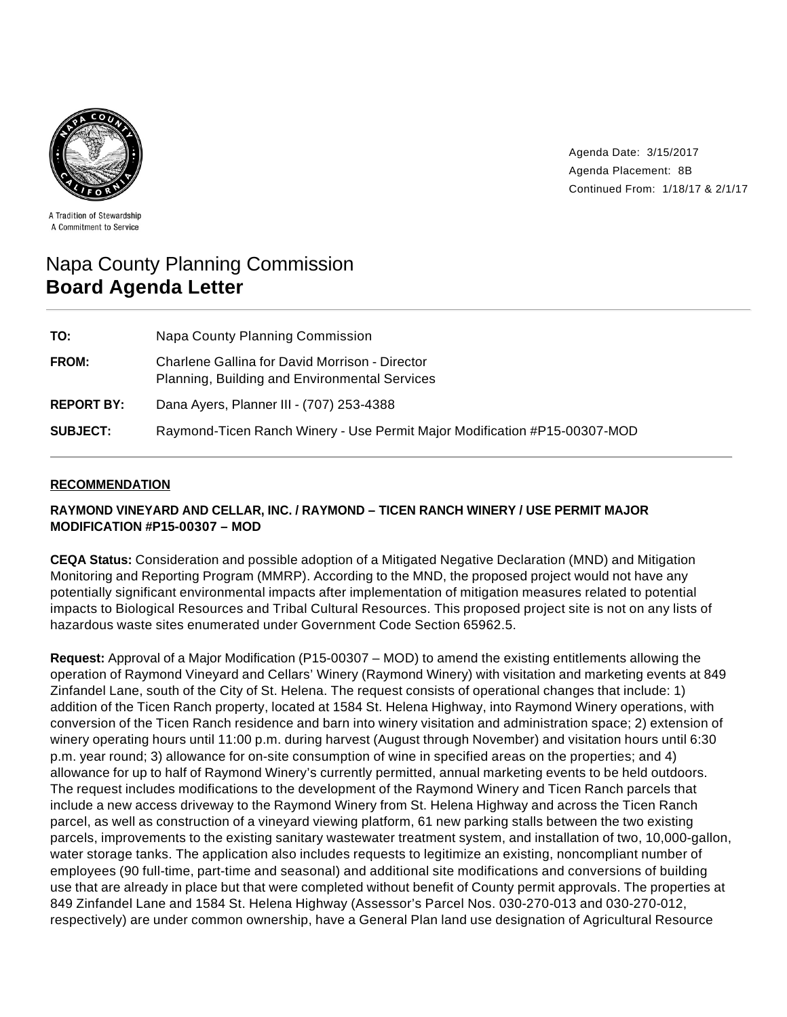

Agenda Date: 3/15/2017 Agenda Placement: 8B Continued From: 1/18/17 & 2/1/17

A Tradition of Stewardship A Commitment to Service

# Napa County Planning Commission **Board Agenda Letter**

| TO:               | Napa County Planning Commission                                                                 |
|-------------------|-------------------------------------------------------------------------------------------------|
| FROM:             | Charlene Gallina for David Morrison - Director<br>Planning, Building and Environmental Services |
| <b>REPORT BY:</b> | Dana Ayers, Planner III - (707) 253-4388                                                        |
| <b>SUBJECT:</b>   | Raymond-Ticen Ranch Winery - Use Permit Major Modification #P15-00307-MOD                       |

## **RECOMMENDATION**

# **RAYMOND VINEYARD AND CELLAR, INC. / RAYMOND – TICEN RANCH WINERY / USE PERMIT MAJOR MODIFICATION #P15-00307 – MOD**

**CEQA Status:** Consideration and possible adoption of a Mitigated Negative Declaration (MND) and Mitigation Monitoring and Reporting Program (MMRP). According to the MND, the proposed project would not have any potentially significant environmental impacts after implementation of mitigation measures related to potential impacts to Biological Resources and Tribal Cultural Resources. This proposed project site is not on any lists of hazardous waste sites enumerated under Government Code Section 65962.5.

**Request:** Approval of a Major Modification (P15-00307 – MOD) to amend the existing entitlements allowing the operation of Raymond Vineyard and Cellars' Winery (Raymond Winery) with visitation and marketing events at 849 Zinfandel Lane, south of the City of St. Helena. The request consists of operational changes that include: 1) addition of the Ticen Ranch property, located at 1584 St. Helena Highway, into Raymond Winery operations, with conversion of the Ticen Ranch residence and barn into winery visitation and administration space; 2) extension of winery operating hours until 11:00 p.m. during harvest (August through November) and visitation hours until 6:30 p.m. year round; 3) allowance for on-site consumption of wine in specified areas on the properties; and 4) allowance for up to half of Raymond Winery's currently permitted, annual marketing events to be held outdoors. The request includes modifications to the development of the Raymond Winery and Ticen Ranch parcels that include a new access driveway to the Raymond Winery from St. Helena Highway and across the Ticen Ranch parcel, as well as construction of a vineyard viewing platform, 61 new parking stalls between the two existing parcels, improvements to the existing sanitary wastewater treatment system, and installation of two, 10,000-gallon, water storage tanks. The application also includes requests to legitimize an existing, noncompliant number of employees (90 full-time, part-time and seasonal) and additional site modifications and conversions of building use that are already in place but that were completed without benefit of County permit approvals. The properties at 849 Zinfandel Lane and 1584 St. Helena Highway (Assessor's Parcel Nos. 030-270-013 and 030-270-012, respectively) are under common ownership, have a General Plan land use designation of Agricultural Resource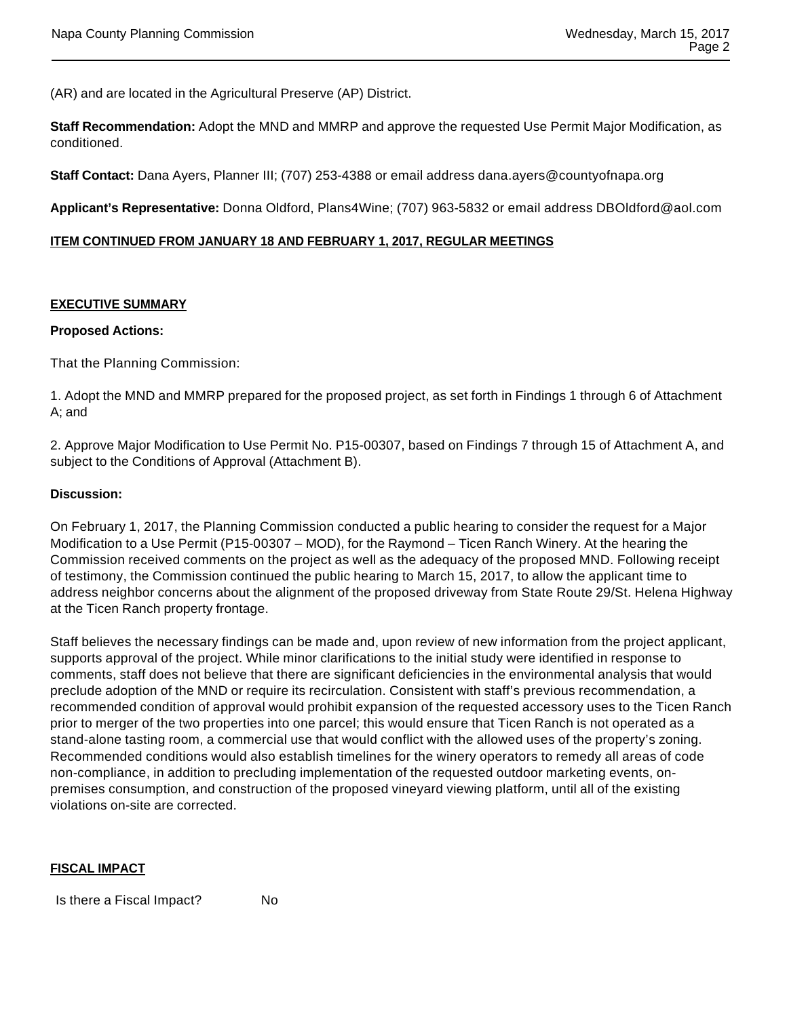(AR) and are located in the Agricultural Preserve (AP) District.

**Staff Recommendation:** Adopt the MND and MMRP and approve the requested Use Permit Major Modification, as conditioned.

**Staff Contact:** Dana Ayers, Planner III; (707) 253-4388 or email address dana.ayers@countyofnapa.org

**Applicant's Representative:** Donna Oldford, Plans4Wine; (707) 963-5832 or email address DBOldford@aol.com

#### **ITEM CONTINUED FROM JANUARY 18 AND FEBRUARY 1, 2017, REGULAR MEETINGS**

#### **EXECUTIVE SUMMARY**

#### **Proposed Actions:**

That the Planning Commission:

1. Adopt the MND and MMRP prepared for the proposed project, as set forth in Findings 1 through 6 of Attachment A; and

2. Approve Major Modification to Use Permit No. P15-00307, based on Findings 7 through 15 of Attachment A, and subject to the Conditions of Approval (Attachment B).

#### **Discussion:**

On February 1, 2017, the Planning Commission conducted a public hearing to consider the request for a Major Modification to a Use Permit (P15-00307 – MOD), for the Raymond – Ticen Ranch Winery. At the hearing the Commission received comments on the project as well as the adequacy of the proposed MND. Following receipt of testimony, the Commission continued the public hearing to March 15, 2017, to allow the applicant time to address neighbor concerns about the alignment of the proposed driveway from State Route 29/St. Helena Highway at the Ticen Ranch property frontage.

Staff believes the necessary findings can be made and, upon review of new information from the project applicant, supports approval of the project. While minor clarifications to the initial study were identified in response to comments, staff does not believe that there are significant deficiencies in the environmental analysis that would preclude adoption of the MND or require its recirculation. Consistent with staff's previous recommendation, a recommended condition of approval would prohibit expansion of the requested accessory uses to the Ticen Ranch prior to merger of the two properties into one parcel; this would ensure that Ticen Ranch is not operated as a stand-alone tasting room, a commercial use that would conflict with the allowed uses of the property's zoning. Recommended conditions would also establish timelines for the winery operators to remedy all areas of code non-compliance, in addition to precluding implementation of the requested outdoor marketing events, onpremises consumption, and construction of the proposed vineyard viewing platform, until all of the existing violations on-site are corrected.

#### **FISCAL IMPACT**

Is there a Fiscal Impact? No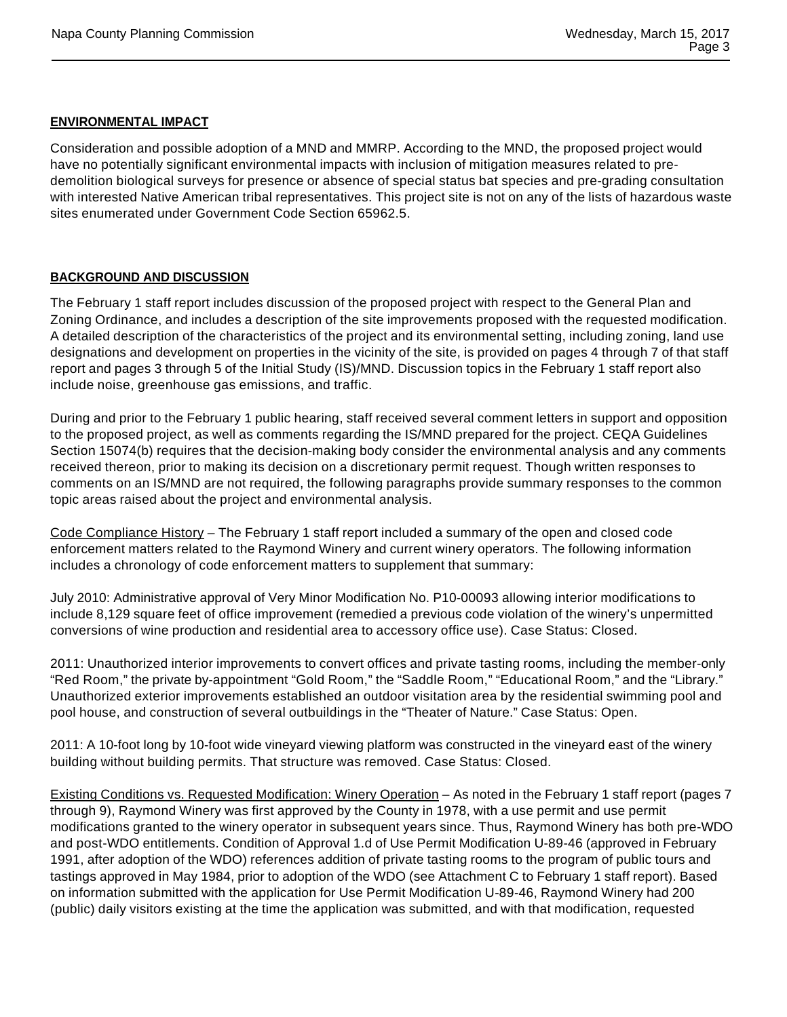#### **ENVIRONMENTAL IMPACT**

Consideration and possible adoption of a MND and MMRP. According to the MND, the proposed project would have no potentially significant environmental impacts with inclusion of mitigation measures related to predemolition biological surveys for presence or absence of special status bat species and pre-grading consultation with interested Native American tribal representatives. This project site is not on any of the lists of hazardous waste sites enumerated under Government Code Section 65962.5.

#### **BACKGROUND AND DISCUSSION**

The February 1 staff report includes discussion of the proposed project with respect to the General Plan and Zoning Ordinance, and includes a description of the site improvements proposed with the requested modification. A detailed description of the characteristics of the project and its environmental setting, including zoning, land use designations and development on properties in the vicinity of the site, is provided on pages 4 through 7 of that staff report and pages 3 through 5 of the Initial Study (IS)/MND. Discussion topics in the February 1 staff report also include noise, greenhouse gas emissions, and traffic.

During and prior to the February 1 public hearing, staff received several comment letters in support and opposition to the proposed project, as well as comments regarding the IS/MND prepared for the project. CEQA Guidelines Section 15074(b) requires that the decision-making body consider the environmental analysis and any comments received thereon, prior to making its decision on a discretionary permit request. Though written responses to comments on an IS/MND are not required, the following paragraphs provide summary responses to the common topic areas raised about the project and environmental analysis.

Code Compliance History – The February 1 staff report included a summary of the open and closed code enforcement matters related to the Raymond Winery and current winery operators. The following information includes a chronology of code enforcement matters to supplement that summary:

July 2010: Administrative approval of Very Minor Modification No. P10-00093 allowing interior modifications to include 8,129 square feet of office improvement (remedied a previous code violation of the winery's unpermitted conversions of wine production and residential area to accessory office use). Case Status: Closed.

2011: Unauthorized interior improvements to convert offices and private tasting rooms, including the member-only "Red Room," the private by-appointment "Gold Room," the "Saddle Room," "Educational Room," and the "Library." Unauthorized exterior improvements established an outdoor visitation area by the residential swimming pool and pool house, and construction of several outbuildings in the "Theater of Nature." Case Status: Open.

2011: A 10-foot long by 10-foot wide vineyard viewing platform was constructed in the vineyard east of the winery building without building permits. That structure was removed. Case Status: Closed.

Existing Conditions vs. Requested Modification: Winery Operation – As noted in the February 1 staff report (pages 7 through 9), Raymond Winery was first approved by the County in 1978, with a use permit and use permit modifications granted to the winery operator in subsequent years since. Thus, Raymond Winery has both pre-WDO and post-WDO entitlements. Condition of Approval 1.d of Use Permit Modification U-89-46 (approved in February 1991, after adoption of the WDO) references addition of private tasting rooms to the program of public tours and tastings approved in May 1984, prior to adoption of the WDO (see Attachment C to February 1 staff report). Based on information submitted with the application for Use Permit Modification U-89-46, Raymond Winery had 200 (public) daily visitors existing at the time the application was submitted, and with that modification, requested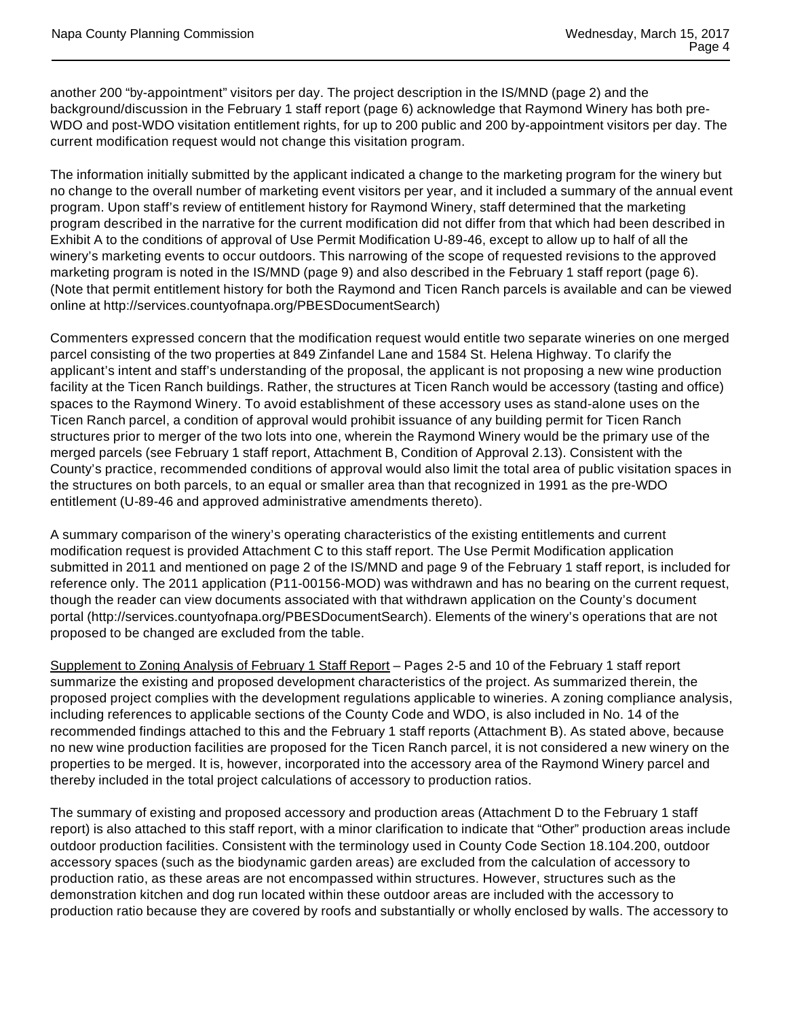another 200 "by-appointment" visitors per day. The project description in the IS/MND (page 2) and the background/discussion in the February 1 staff report (page 6) acknowledge that Raymond Winery has both pre-WDO and post-WDO visitation entitlement rights, for up to 200 public and 200 by-appointment visitors per day. The current modification request would not change this visitation program.

The information initially submitted by the applicant indicated a change to the marketing program for the winery but no change to the overall number of marketing event visitors per year, and it included a summary of the annual event program. Upon staff's review of entitlement history for Raymond Winery, staff determined that the marketing program described in the narrative for the current modification did not differ from that which had been described in Exhibit A to the conditions of approval of Use Permit Modification U-89-46, except to allow up to half of all the winery's marketing events to occur outdoors. This narrowing of the scope of requested revisions to the approved marketing program is noted in the IS/MND (page 9) and also described in the February 1 staff report (page 6). (Note that permit entitlement history for both the Raymond and Ticen Ranch parcels is available and can be viewed online at http://services.countyofnapa.org/PBESDocumentSearch)

Commenters expressed concern that the modification request would entitle two separate wineries on one merged parcel consisting of the two properties at 849 Zinfandel Lane and 1584 St. Helena Highway. To clarify the applicant's intent and staff's understanding of the proposal, the applicant is not proposing a new wine production facility at the Ticen Ranch buildings. Rather, the structures at Ticen Ranch would be accessory (tasting and office) spaces to the Raymond Winery. To avoid establishment of these accessory uses as stand-alone uses on the Ticen Ranch parcel, a condition of approval would prohibit issuance of any building permit for Ticen Ranch structures prior to merger of the two lots into one, wherein the Raymond Winery would be the primary use of the merged parcels (see February 1 staff report, Attachment B, Condition of Approval 2.13). Consistent with the County's practice, recommended conditions of approval would also limit the total area of public visitation spaces in the structures on both parcels, to an equal or smaller area than that recognized in 1991 as the pre-WDO entitlement (U-89-46 and approved administrative amendments thereto).

A summary comparison of the winery's operating characteristics of the existing entitlements and current modification request is provided Attachment C to this staff report. The Use Permit Modification application submitted in 2011 and mentioned on page 2 of the IS/MND and page 9 of the February 1 staff report, is included for reference only. The 2011 application (P11-00156-MOD) was withdrawn and has no bearing on the current request, though the reader can view documents associated with that withdrawn application on the County's document portal (http://services.countyofnapa.org/PBESDocumentSearch). Elements of the winery's operations that are not proposed to be changed are excluded from the table.

Supplement to Zoning Analysis of February 1 Staff Report - Pages 2-5 and 10 of the February 1 staff report summarize the existing and proposed development characteristics of the project. As summarized therein, the proposed project complies with the development regulations applicable to wineries. A zoning compliance analysis, including references to applicable sections of the County Code and WDO, is also included in No. 14 of the recommended findings attached to this and the February 1 staff reports (Attachment B). As stated above, because no new wine production facilities are proposed for the Ticen Ranch parcel, it is not considered a new winery on the properties to be merged. It is, however, incorporated into the accessory area of the Raymond Winery parcel and thereby included in the total project calculations of accessory to production ratios.

The summary of existing and proposed accessory and production areas (Attachment D to the February 1 staff report) is also attached to this staff report, with a minor clarification to indicate that "Other" production areas include outdoor production facilities. Consistent with the terminology used in County Code Section 18.104.200, outdoor accessory spaces (such as the biodynamic garden areas) are excluded from the calculation of accessory to production ratio, as these areas are not encompassed within structures. However, structures such as the demonstration kitchen and dog run located within these outdoor areas are included with the accessory to production ratio because they are covered by roofs and substantially or wholly enclosed by walls. The accessory to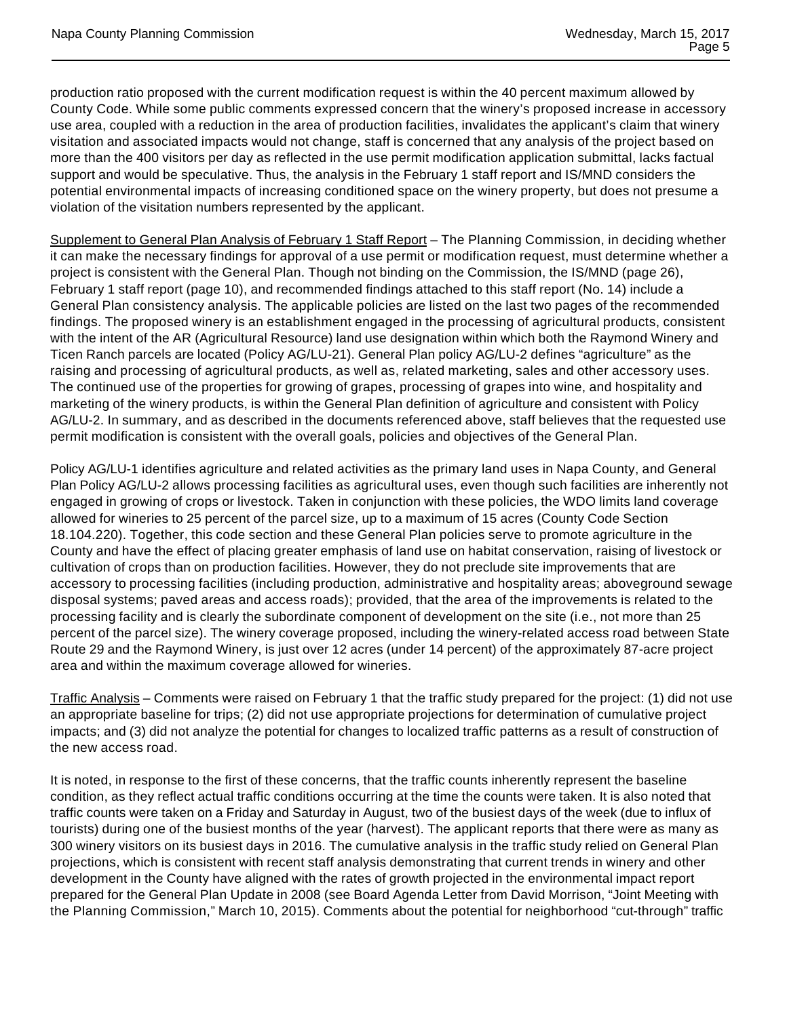production ratio proposed with the current modification request is within the 40 percent maximum allowed by County Code. While some public comments expressed concern that the winery's proposed increase in accessory use area, coupled with a reduction in the area of production facilities, invalidates the applicant's claim that winery visitation and associated impacts would not change, staff is concerned that any analysis of the project based on more than the 400 visitors per day as reflected in the use permit modification application submittal, lacks factual support and would be speculative. Thus, the analysis in the February 1 staff report and IS/MND considers the potential environmental impacts of increasing conditioned space on the winery property, but does not presume a violation of the visitation numbers represented by the applicant.

Supplement to General Plan Analysis of February 1 Staff Report - The Planning Commission, in deciding whether it can make the necessary findings for approval of a use permit or modification request, must determine whether a project is consistent with the General Plan. Though not binding on the Commission, the IS/MND (page 26), February 1 staff report (page 10), and recommended findings attached to this staff report (No. 14) include a General Plan consistency analysis. The applicable policies are listed on the last two pages of the recommended findings. The proposed winery is an establishment engaged in the processing of agricultural products, consistent with the intent of the AR (Agricultural Resource) land use designation within which both the Raymond Winery and Ticen Ranch parcels are located (Policy AG/LU-21). General Plan policy AG/LU-2 defines "agriculture" as the raising and processing of agricultural products, as well as, related marketing, sales and other accessory uses. The continued use of the properties for growing of grapes, processing of grapes into wine, and hospitality and marketing of the winery products, is within the General Plan definition of agriculture and consistent with Policy AG/LU-2. In summary, and as described in the documents referenced above, staff believes that the requested use permit modification is consistent with the overall goals, policies and objectives of the General Plan.

Policy AG/LU-1 identifies agriculture and related activities as the primary land uses in Napa County, and General Plan Policy AG/LU-2 allows processing facilities as agricultural uses, even though such facilities are inherently not engaged in growing of crops or livestock. Taken in conjunction with these policies, the WDO limits land coverage allowed for wineries to 25 percent of the parcel size, up to a maximum of 15 acres (County Code Section 18.104.220). Together, this code section and these General Plan policies serve to promote agriculture in the County and have the effect of placing greater emphasis of land use on habitat conservation, raising of livestock or cultivation of crops than on production facilities. However, they do not preclude site improvements that are accessory to processing facilities (including production, administrative and hospitality areas; aboveground sewage disposal systems; paved areas and access roads); provided, that the area of the improvements is related to the processing facility and is clearly the subordinate component of development on the site (i.e., not more than 25 percent of the parcel size). The winery coverage proposed, including the winery-related access road between State Route 29 and the Raymond Winery, is just over 12 acres (under 14 percent) of the approximately 87-acre project area and within the maximum coverage allowed for wineries.

Traffic Analysis – Comments were raised on February 1 that the traffic study prepared for the project: (1) did not use an appropriate baseline for trips; (2) did not use appropriate projections for determination of cumulative project impacts; and (3) did not analyze the potential for changes to localized traffic patterns as a result of construction of the new access road.

It is noted, in response to the first of these concerns, that the traffic counts inherently represent the baseline condition, as they reflect actual traffic conditions occurring at the time the counts were taken. It is also noted that traffic counts were taken on a Friday and Saturday in August, two of the busiest days of the week (due to influx of tourists) during one of the busiest months of the year (harvest). The applicant reports that there were as many as 300 winery visitors on its busiest days in 2016. The cumulative analysis in the traffic study relied on General Plan projections, which is consistent with recent staff analysis demonstrating that current trends in winery and other development in the County have aligned with the rates of growth projected in the environmental impact report prepared for the General Plan Update in 2008 (see Board Agenda Letter from David Morrison, "Joint Meeting with the Planning Commission," March 10, 2015). Comments about the potential for neighborhood "cut-through" traffic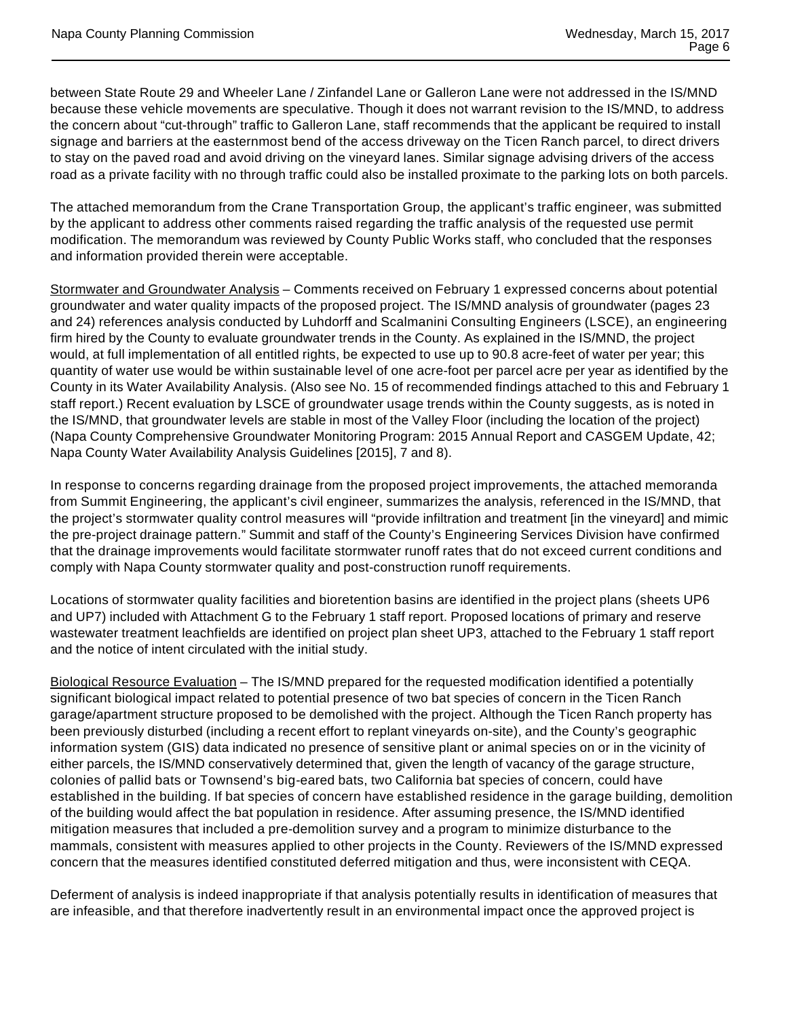between State Route 29 and Wheeler Lane / Zinfandel Lane or Galleron Lane were not addressed in the IS/MND because these vehicle movements are speculative. Though it does not warrant revision to the IS/MND, to address the concern about "cut-through" traffic to Galleron Lane, staff recommends that the applicant be required to install signage and barriers at the easternmost bend of the access driveway on the Ticen Ranch parcel, to direct drivers to stay on the paved road and avoid driving on the vineyard lanes. Similar signage advising drivers of the access road as a private facility with no through traffic could also be installed proximate to the parking lots on both parcels.

The attached memorandum from the Crane Transportation Group, the applicant's traffic engineer, was submitted by the applicant to address other comments raised regarding the traffic analysis of the requested use permit modification. The memorandum was reviewed by County Public Works staff, who concluded that the responses and information provided therein were acceptable.

Stormwater and Groundwater Analysis - Comments received on February 1 expressed concerns about potential groundwater and water quality impacts of the proposed project. The IS/MND analysis of groundwater (pages 23 and 24) references analysis conducted by Luhdorff and Scalmanini Consulting Engineers (LSCE), an engineering firm hired by the County to evaluate groundwater trends in the County. As explained in the IS/MND, the project would, at full implementation of all entitled rights, be expected to use up to 90.8 acre-feet of water per year; this quantity of water use would be within sustainable level of one acre-foot per parcel acre per year as identified by the County in its Water Availability Analysis. (Also see No. 15 of recommended findings attached to this and February 1 staff report.) Recent evaluation by LSCE of groundwater usage trends within the County suggests, as is noted in the IS/MND, that groundwater levels are stable in most of the Valley Floor (including the location of the project) (Napa County Comprehensive Groundwater Monitoring Program: 2015 Annual Report and CASGEM Update, 42; Napa County Water Availability Analysis Guidelines [2015], 7 and 8).

In response to concerns regarding drainage from the proposed project improvements, the attached memoranda from Summit Engineering, the applicant's civil engineer, summarizes the analysis, referenced in the IS/MND, that the project's stormwater quality control measures will "provide infiltration and treatment [in the vineyard] and mimic the pre-project drainage pattern." Summit and staff of the County's Engineering Services Division have confirmed that the drainage improvements would facilitate stormwater runoff rates that do not exceed current conditions and comply with Napa County stormwater quality and post-construction runoff requirements.

Locations of stormwater quality facilities and bioretention basins are identified in the project plans (sheets UP6 and UP7) included with Attachment G to the February 1 staff report. Proposed locations of primary and reserve wastewater treatment leachfields are identified on project plan sheet UP3, attached to the February 1 staff report and the notice of intent circulated with the initial study.

Biological Resource Evaluation – The IS/MND prepared for the requested modification identified a potentially significant biological impact related to potential presence of two bat species of concern in the Ticen Ranch garage/apartment structure proposed to be demolished with the project. Although the Ticen Ranch property has been previously disturbed (including a recent effort to replant vineyards on-site), and the County's geographic information system (GIS) data indicated no presence of sensitive plant or animal species on or in the vicinity of either parcels, the IS/MND conservatively determined that, given the length of vacancy of the garage structure, colonies of pallid bats or Townsend's big-eared bats, two California bat species of concern, could have established in the building. If bat species of concern have established residence in the garage building, demolition of the building would affect the bat population in residence. After assuming presence, the IS/MND identified mitigation measures that included a pre-demolition survey and a program to minimize disturbance to the mammals, consistent with measures applied to other projects in the County. Reviewers of the IS/MND expressed concern that the measures identified constituted deferred mitigation and thus, were inconsistent with CEQA.

Deferment of analysis is indeed inappropriate if that analysis potentially results in identification of measures that are infeasible, and that therefore inadvertently result in an environmental impact once the approved project is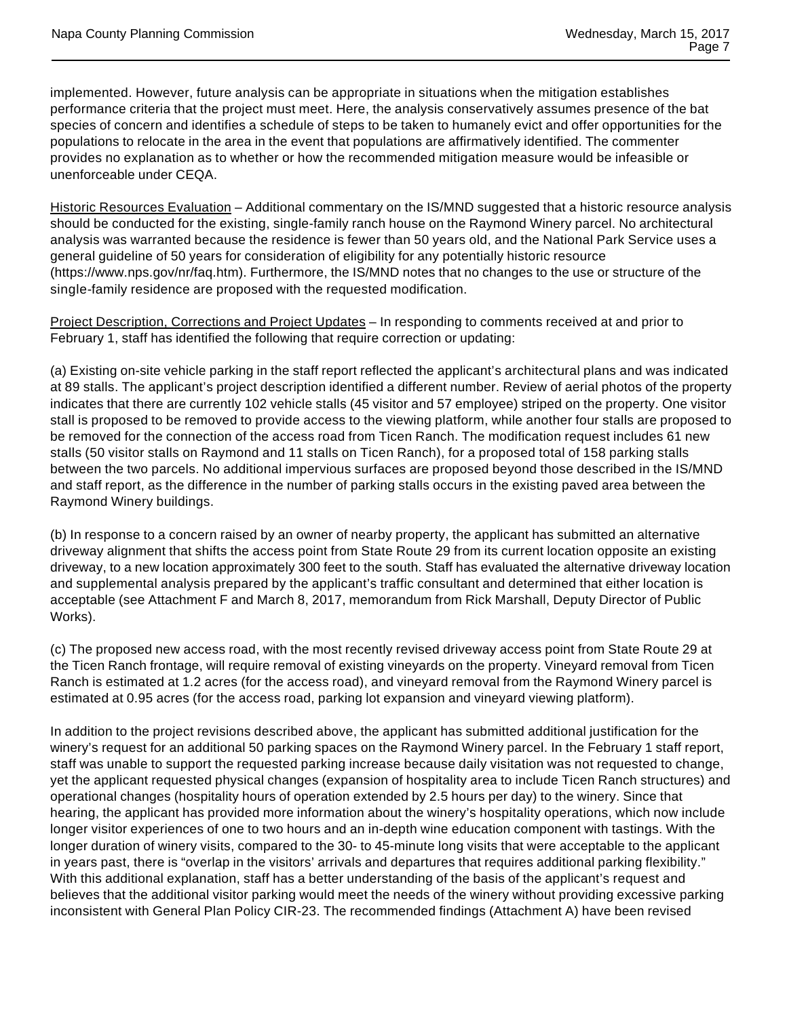implemented. However, future analysis can be appropriate in situations when the mitigation establishes performance criteria that the project must meet. Here, the analysis conservatively assumes presence of the bat species of concern and identifies a schedule of steps to be taken to humanely evict and offer opportunities for the populations to relocate in the area in the event that populations are affirmatively identified. The commenter provides no explanation as to whether or how the recommended mitigation measure would be infeasible or unenforceable under CEQA.

Historic Resources Evaluation – Additional commentary on the IS/MND suggested that a historic resource analysis should be conducted for the existing, single-family ranch house on the Raymond Winery parcel. No architectural analysis was warranted because the residence is fewer than 50 years old, and the National Park Service uses a general guideline of 50 years for consideration of eligibility for any potentially historic resource (https://www.nps.gov/nr/faq.htm). Furthermore, the IS/MND notes that no changes to the use or structure of the single-family residence are proposed with the requested modification.

Project Description, Corrections and Project Updates – In responding to comments received at and prior to February 1, staff has identified the following that require correction or updating:

(a) Existing on-site vehicle parking in the staff report reflected the applicant's architectural plans and was indicated at 89 stalls. The applicant's project description identified a different number. Review of aerial photos of the property indicates that there are currently 102 vehicle stalls (45 visitor and 57 employee) striped on the property. One visitor stall is proposed to be removed to provide access to the viewing platform, while another four stalls are proposed to be removed for the connection of the access road from Ticen Ranch. The modification request includes 61 new stalls (50 visitor stalls on Raymond and 11 stalls on Ticen Ranch), for a proposed total of 158 parking stalls between the two parcels. No additional impervious surfaces are proposed beyond those described in the IS/MND and staff report, as the difference in the number of parking stalls occurs in the existing paved area between the Raymond Winery buildings.

(b) In response to a concern raised by an owner of nearby property, the applicant has submitted an alternative driveway alignment that shifts the access point from State Route 29 from its current location opposite an existing driveway, to a new location approximately 300 feet to the south. Staff has evaluated the alternative driveway location and supplemental analysis prepared by the applicant's traffic consultant and determined that either location is acceptable (see Attachment F and March 8, 2017, memorandum from Rick Marshall, Deputy Director of Public Works).

(c) The proposed new access road, with the most recently revised driveway access point from State Route 29 at the Ticen Ranch frontage, will require removal of existing vineyards on the property. Vineyard removal from Ticen Ranch is estimated at 1.2 acres (for the access road), and vineyard removal from the Raymond Winery parcel is estimated at 0.95 acres (for the access road, parking lot expansion and vineyard viewing platform).

In addition to the project revisions described above, the applicant has submitted additional justification for the winery's request for an additional 50 parking spaces on the Raymond Winery parcel. In the February 1 staff report, staff was unable to support the requested parking increase because daily visitation was not requested to change, yet the applicant requested physical changes (expansion of hospitality area to include Ticen Ranch structures) and operational changes (hospitality hours of operation extended by 2.5 hours per day) to the winery. Since that hearing, the applicant has provided more information about the winery's hospitality operations, which now include longer visitor experiences of one to two hours and an in-depth wine education component with tastings. With the longer duration of winery visits, compared to the 30- to 45-minute long visits that were acceptable to the applicant in years past, there is "overlap in the visitors' arrivals and departures that requires additional parking flexibility." With this additional explanation, staff has a better understanding of the basis of the applicant's request and believes that the additional visitor parking would meet the needs of the winery without providing excessive parking inconsistent with General Plan Policy CIR-23. The recommended findings (Attachment A) have been revised